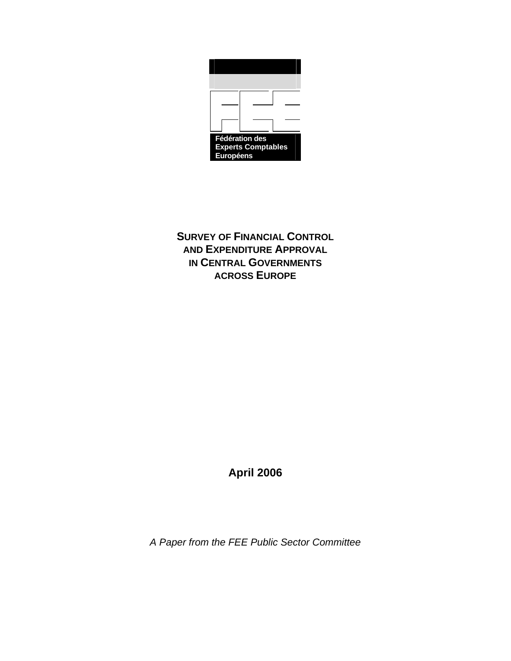

**SURVEY OF FINANCIAL CONTROL AND EXPENDITURE APPROVAL IN CENTRAL GOVERNMENTS ACROSS EUROPE**

**April 2006** 

*A Paper from the FEE Public Sector Committee*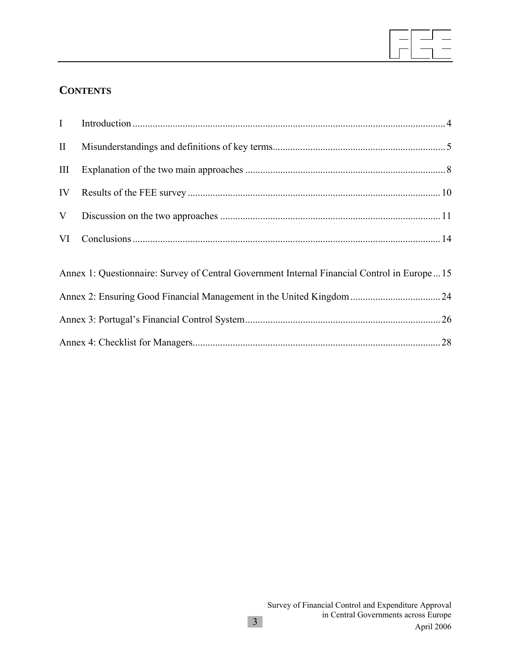

# **CONTENTS**

| I            |                                                                                             |  |
|--------------|---------------------------------------------------------------------------------------------|--|
| $\mathbf{I}$ |                                                                                             |  |
| III          |                                                                                             |  |
| IV           |                                                                                             |  |
| V            |                                                                                             |  |
| VI           |                                                                                             |  |
|              | Annex 1: Questionnaire: Survey of Central Government Internal Financial Control in Europe15 |  |
|              |                                                                                             |  |
|              |                                                                                             |  |
|              |                                                                                             |  |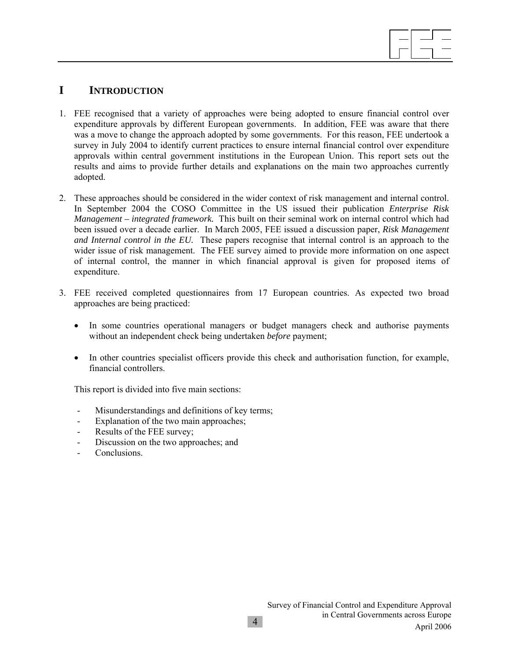

## **I INTRODUCTION**

- 1. FEE recognised that a variety of approaches were being adopted to ensure financial control over expenditure approvals by different European governments. In addition, FEE was aware that there was a move to change the approach adopted by some governments. For this reason, FEE undertook a survey in July 2004 to identify current practices to ensure internal financial control over expenditure approvals within central government institutions in the European Union. This report sets out the results and aims to provide further details and explanations on the main two approaches currently adopted.
- 2. These approaches should be considered in the wider context of risk management and internal control. In September 2004 the COSO Committee in the US issued their publication *Enterprise Risk Management – integrated framework.* This built on their seminal work on internal control which had been issued over a decade earlier. In March 2005, FEE issued a discussion paper, *Risk Management and Internal control in the EU.* These papers recognise that internal control is an approach to the wider issue of risk management. The FEE survey aimed to provide more information on one aspect of internal control, the manner in which financial approval is given for proposed items of expenditure.
- 3. FEE received completed questionnaires from 17 European countries. As expected two broad approaches are being practiced:
	- In some countries operational managers or budget managers check and authorise payments without an independent check being undertaken *before* payment;
	- In other countries specialist officers provide this check and authorisation function, for example, financial controllers.

This report is divided into five main sections:

- Misunderstandings and definitions of key terms;
- Explanation of the two main approaches;
- Results of the FEE survey;
- Discussion on the two approaches; and
- **Conclusions**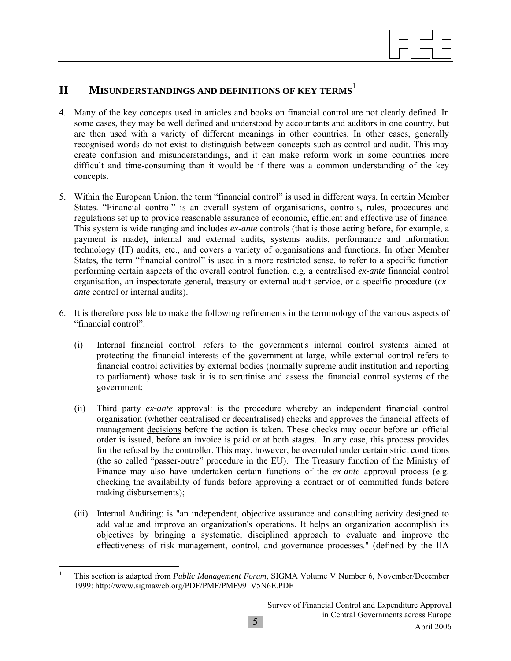

# **II MISUNDERSTANDINGS AND DEFINITIONS OF KEY TERMS**<sup>1</sup>

- 4. Many of the key concepts used in articles and books on financial control are not clearly defined. In some cases, they may be well defined and understood by accountants and auditors in one country, but are then used with a variety of different meanings in other countries. In other cases, generally recognised words do not exist to distinguish between concepts such as control and audit. This may create confusion and misunderstandings, and it can make reform work in some countries more difficult and time-consuming than it would be if there was a common understanding of the key concepts.
- 5. Within the European Union, the term "financial control" is used in different ways. In certain Member States. "Financial control" is an overall system of organisations, controls, rules, procedures and regulations set up to provide reasonable assurance of economic, efficient and effective use of finance. This system is wide ranging and includes *ex-ante* controls (that is those acting before, for example, a payment is made), internal and external audits, systems audits, performance and information technology (IT) audits, etc., and covers a variety of organisations and functions. In other Member States, the term "financial control" is used in a more restricted sense, to refer to a specific function performing certain aspects of the overall control function, e.g. a centralised *ex-ante* financial control organisation, an inspectorate general, treasury or external audit service, or a specific procedure (*exante* control or internal audits).
- 6. It is therefore possible to make the following refinements in the terminology of the various aspects of "financial control":
	- (i) Internal financial control: refers to the government's internal control systems aimed at protecting the financial interests of the government at large, while external control refers to financial control activities by external bodies (normally supreme audit institution and reporting to parliament) whose task it is to scrutinise and assess the financial control systems of the government;
	- (ii) Third party *ex-ante* approval: is the procedure whereby an independent financial control organisation (whether centralised or decentralised) checks and approves the financial effects of management decisions before the action is taken. These checks may occur before an official order is issued, before an invoice is paid or at both stages. In any case, this process provides for the refusal by the controller. This may, however, be overruled under certain strict conditions (the so called "passer-outre" procedure in the EU). The Treasury function of the Ministry of Finance may also have undertaken certain functions of the *ex-ante* approval process (e.g. checking the availability of funds before approving a contract or of committed funds before making disbursements);
	- (iii) Internal Auditing: is "an independent, objective assurance and consulting activity designed to add value and improve an organization's operations. It helps an organization accomplish its objectives by bringing a systematic, disciplined approach to evaluate and improve the effectiveness of risk management, control, and governance processes." (defined by the IIA

 $\overline{a}$ 1 This section is adapted from *Public Management Forum*, SIGMA Volume V Number 6, November/December 1999: http://www.sigmaweb.org/PDF/PMF/PMF99\_V5N6E.PDF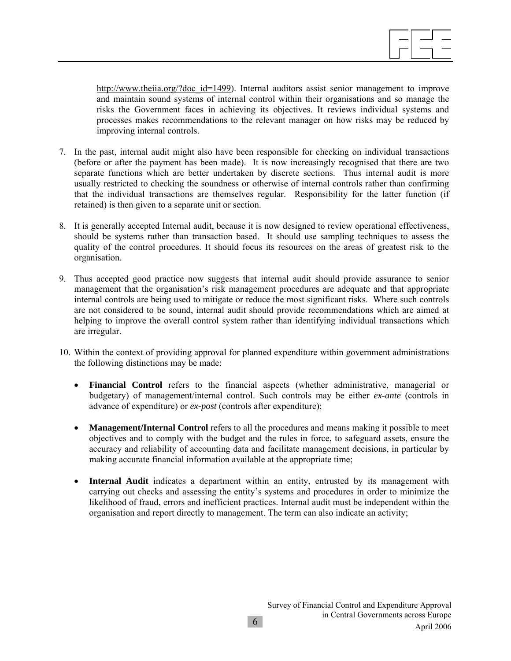http://www.theiia.org/?doc\_id=1499). Internal auditors assist senior management to improve and maintain sound systems of internal control within their organisations and so manage the risks the Government faces in achieving its objectives. It reviews individual systems and processes makes recommendations to the relevant manager on how risks may be reduced by improving internal controls.

- 7. In the past, internal audit might also have been responsible for checking on individual transactions (before or after the payment has been made). It is now increasingly recognised that there are two separate functions which are better undertaken by discrete sections. Thus internal audit is more usually restricted to checking the soundness or otherwise of internal controls rather than confirming that the individual transactions are themselves regular. Responsibility for the latter function (if retained) is then given to a separate unit or section.
- 8. It is generally accepted Internal audit, because it is now designed to review operational effectiveness, should be systems rather than transaction based. It should use sampling techniques to assess the quality of the control procedures. It should focus its resources on the areas of greatest risk to the organisation.
- 9. Thus accepted good practice now suggests that internal audit should provide assurance to senior management that the organisation's risk management procedures are adequate and that appropriate internal controls are being used to mitigate or reduce the most significant risks. Where such controls are not considered to be sound, internal audit should provide recommendations which are aimed at helping to improve the overall control system rather than identifying individual transactions which are irregular.
- 10. Within the context of providing approval for planned expenditure within government administrations the following distinctions may be made:
	- **Financial Control** refers to the financial aspects (whether administrative, managerial or budgetary) of management/internal control. Such controls may be either *ex-ante* (controls in advance of expenditure) or *ex-post* (controls after expenditure);
	- **Management/Internal Control** refers to all the procedures and means making it possible to meet objectives and to comply with the budget and the rules in force, to safeguard assets, ensure the accuracy and reliability of accounting data and facilitate management decisions, in particular by making accurate financial information available at the appropriate time;
	- **Internal Audit** indicates a department within an entity, entrusted by its management with carrying out checks and assessing the entity's systems and procedures in order to minimize the likelihood of fraud, errors and inefficient practices. Internal audit must be independent within the organisation and report directly to management. The term can also indicate an activity;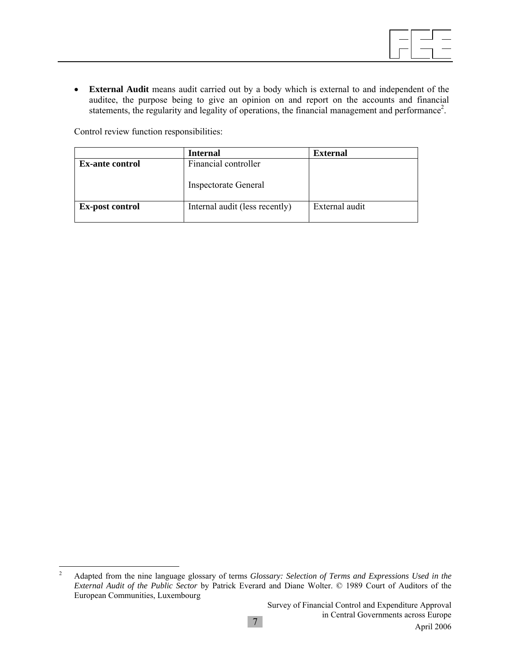• **External Audit** means audit carried out by a body which is external to and independent of the auditee, the purpose being to give an opinion on and report on the accounts and financial statements, the regularity and legality of operations, the financial management and performance<sup>2</sup>.

Control review function responsibilities:

|                        | <b>Internal</b>                | <b>External</b> |
|------------------------|--------------------------------|-----------------|
| <b>Ex-ante control</b> | Financial controller           |                 |
|                        | <b>Inspectorate General</b>    |                 |
| <b>Ex-post control</b> | Internal audit (less recently) | External audit  |
|                        |                                |                 |

 $\frac{1}{2}$  Adapted from the nine language glossary of terms *Glossary: Selection of Terms and Expressions Used in the External Audit of the Public Sector* by Patrick Everard and Diane Wolter. © 1989 Court of Auditors of the European Communities, Luxembourg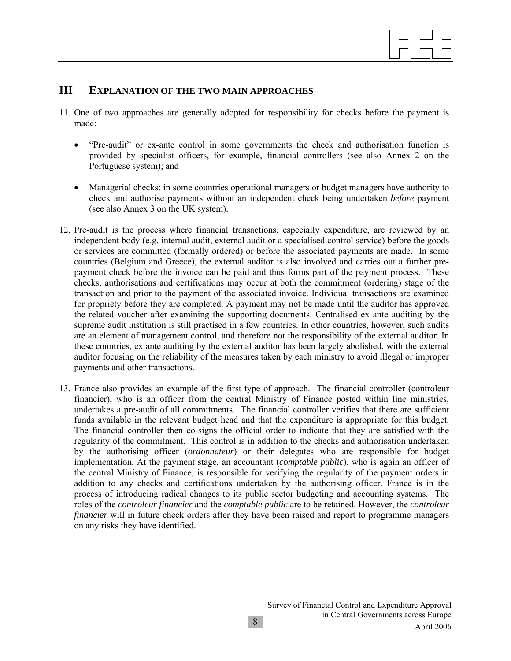

### **III EXPLANATION OF THE TWO MAIN APPROACHES**

- 11. One of two approaches are generally adopted for responsibility for checks before the payment is made:
	- "Pre-audit" or ex-ante control in some governments the check and authorisation function is provided by specialist officers, for example, financial controllers (see also Annex 2 on the Portuguese system); and
	- Managerial checks: in some countries operational managers or budget managers have authority to check and authorise payments without an independent check being undertaken *before* payment (see also Annex 3 on the UK system).
- 12. Pre-audit is the process where financial transactions, especially expenditure, are reviewed by an independent body (e.g. internal audit, external audit or a specialised control service) before the goods or services are committed (formally ordered) or before the associated payments are made. In some countries (Belgium and Greece), the external auditor is also involved and carries out a further prepayment check before the invoice can be paid and thus forms part of the payment process. These checks, authorisations and certifications may occur at both the commitment (ordering) stage of the transaction and prior to the payment of the associated invoice. Individual transactions are examined for propriety before they are completed. A payment may not be made until the auditor has approved the related voucher after examining the supporting documents. Centralised ex ante auditing by the supreme audit institution is still practised in a few countries. In other countries, however, such audits are an element of management control, and therefore not the responsibility of the external auditor. In these countries, ex ante auditing by the external auditor has been largely abolished, with the external auditor focusing on the reliability of the measures taken by each ministry to avoid illegal or improper payments and other transactions.
- 13. France also provides an example of the first type of approach. The financial controller (controleur financier), who is an officer from the central Ministry of Finance posted within line ministries, undertakes a pre-audit of all commitments. The financial controller verifies that there are sufficient funds available in the relevant budget head and that the expenditure is appropriate for this budget. The financial controller then co-signs the official order to indicate that they are satisfied with the regularity of the commitment. This control is in addition to the checks and authorisation undertaken by the authorising officer (*ordonnateur*) or their delegates who are responsible for budget implementation. At the payment stage, an accountant (*comptable public*), who is again an officer of the central Ministry of Finance, is responsible for verifying the regularity of the payment orders in addition to any checks and certifications undertaken by the authorising officer. France is in the process of introducing radical changes to its public sector budgeting and accounting systems. The roles of the *controleur financier* and the *comptable public* are to be retained. However, the *controleur financier* will in future check orders after they have been raised and report to programme managers on any risks they have identified.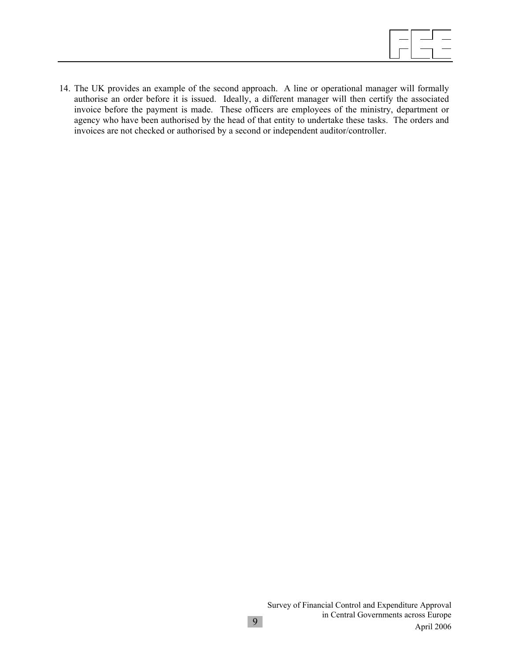14. The UK provides an example of the second approach. A line or operational manager will formally authorise an order before it is issued. Ideally, a different manager will then certify the associated invoice before the payment is made. These officers are employees of the ministry, department or agency who have been authorised by the head of that entity to undertake these tasks. The orders and invoices are not checked or authorised by a second or independent auditor/controller.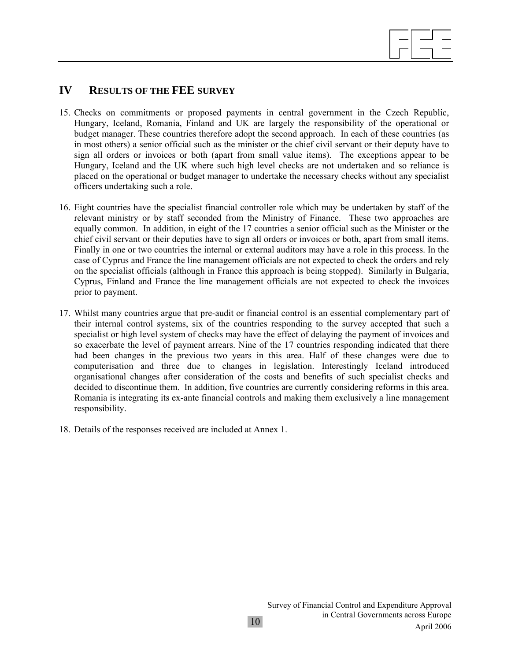

## **IV RESULTS OF THE FEE SURVEY**

- 15. Checks on commitments or proposed payments in central government in the Czech Republic, Hungary, Iceland, Romania, Finland and UK are largely the responsibility of the operational or budget manager. These countries therefore adopt the second approach. In each of these countries (as in most others) a senior official such as the minister or the chief civil servant or their deputy have to sign all orders or invoices or both (apart from small value items). The exceptions appear to be Hungary, Iceland and the UK where such high level checks are not undertaken and so reliance is placed on the operational or budget manager to undertake the necessary checks without any specialist officers undertaking such a role.
- 16. Eight countries have the specialist financial controller role which may be undertaken by staff of the relevant ministry or by staff seconded from the Ministry of Finance. These two approaches are equally common. In addition, in eight of the 17 countries a senior official such as the Minister or the chief civil servant or their deputies have to sign all orders or invoices or both, apart from small items. Finally in one or two countries the internal or external auditors may have a role in this process. In the case of Cyprus and France the line management officials are not expected to check the orders and rely on the specialist officials (although in France this approach is being stopped). Similarly in Bulgaria, Cyprus, Finland and France the line management officials are not expected to check the invoices prior to payment.
- 17. Whilst many countries argue that pre-audit or financial control is an essential complementary part of their internal control systems, six of the countries responding to the survey accepted that such a specialist or high level system of checks may have the effect of delaying the payment of invoices and so exacerbate the level of payment arrears. Nine of the 17 countries responding indicated that there had been changes in the previous two years in this area. Half of these changes were due to computerisation and three due to changes in legislation. Interestingly Iceland introduced organisational changes after consideration of the costs and benefits of such specialist checks and decided to discontinue them. In addition, five countries are currently considering reforms in this area. Romania is integrating its ex-ante financial controls and making them exclusively a line management responsibility.
- 18. Details of the responses received are included at Annex 1.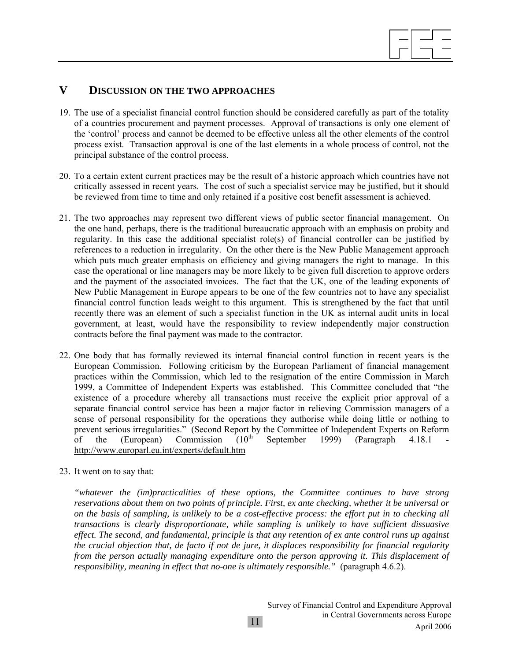

### **V DISCUSSION ON THE TWO APPROACHES**

- 19. The use of a specialist financial control function should be considered carefully as part of the totality of a countries procurement and payment processes. Approval of transactions is only one element of the 'control' process and cannot be deemed to be effective unless all the other elements of the control process exist. Transaction approval is one of the last elements in a whole process of control, not the principal substance of the control process.
- 20. To a certain extent current practices may be the result of a historic approach which countries have not critically assessed in recent years. The cost of such a specialist service may be justified, but it should be reviewed from time to time and only retained if a positive cost benefit assessment is achieved.
- 21. The two approaches may represent two different views of public sector financial management. On the one hand, perhaps, there is the traditional bureaucratic approach with an emphasis on probity and regularity. In this case the additional specialist role(s) of financial controller can be justified by references to a reduction in irregularity. On the other there is the New Public Management approach which puts much greater emphasis on efficiency and giving managers the right to manage. In this case the operational or line managers may be more likely to be given full discretion to approve orders and the payment of the associated invoices. The fact that the UK, one of the leading exponents of New Public Management in Europe appears to be one of the few countries not to have any specialist financial control function leads weight to this argument. This is strengthened by the fact that until recently there was an element of such a specialist function in the UK as internal audit units in local government, at least, would have the responsibility to review independently major construction contracts before the final payment was made to the contractor.
- 22. One body that has formally reviewed its internal financial control function in recent years is the European Commission. Following criticism by the European Parliament of financial management practices within the Commission, which led to the resignation of the entire Commission in March 1999, a Committee of Independent Experts was established. This Committee concluded that "the existence of a procedure whereby all transactions must receive the explicit prior approval of a separate financial control service has been a major factor in relieving Commission managers of a sense of personal responsibility for the operations they authorise while doing little or nothing to prevent serious irregularities." (Second Report by the Committee of Independent Experts on Reform of the (European) Commission  $(10^{th}$  September 1999) (Paragraph 4.18.1 http://www.europarl.eu.int/experts/default.htm
- 23. It went on to say that:

*"whatever the (im)practicalities of these options, the Committee continues to have strong reservations about them on two points of principle. First, ex ante checking, whether it be universal or on the basis of sampling, is unlikely to be a cost-effective process: the effort put in to checking all transactions is clearly disproportionate, while sampling is unlikely to have sufficient dissuasive effect. The second, and fundamental, principle is that any retention of ex ante control runs up against the crucial objection that, de facto if not de jure, it displaces responsibility for financial regularity from the person actually managing expenditure onto the person approving it. This displacement of responsibility, meaning in effect that no-one is ultimately responsible."* (paragraph 4.6.2).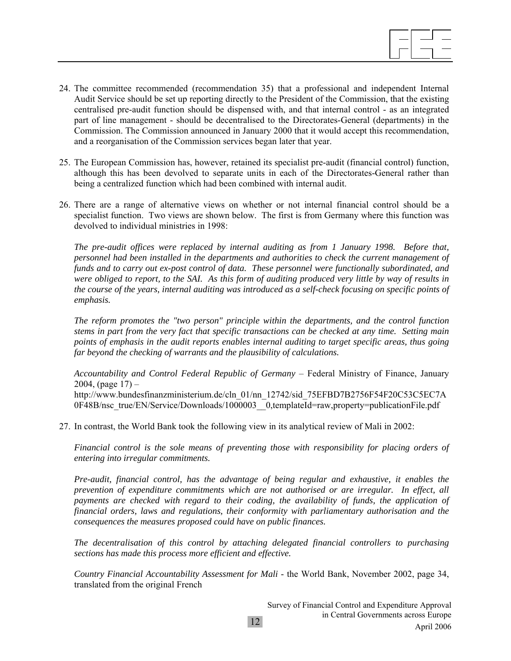- 24. The committee recommended (recommendation 35) that a professional and independent Internal Audit Service should be set up reporting directly to the President of the Commission, that the existing centralised pre-audit function should be dispensed with, and that internal control - as an integrated part of line management - should be decentralised to the Directorates-General (departments) in the Commission. The Commission announced in January 2000 that it would accept this recommendation, and a reorganisation of the Commission services began later that year.
- 25. The European Commission has, however, retained its specialist pre-audit (financial control) function, although this has been devolved to separate units in each of the Directorates-General rather than being a centralized function which had been combined with internal audit.
- 26. There are a range of alternative views on whether or not internal financial control should be a specialist function. Two views are shown below. The first is from Germany where this function was devolved to individual ministries in 1998:

*The pre-audit offices were replaced by internal auditing as from 1 January 1998. Before that, personnel had been installed in the departments and authorities to check the current management of funds and to carry out ex-post control of data. These personnel were functionally subordinated, and were obliged to report, to the SAI. As this form of auditing produced very little by way of results in the course of the years, internal auditing was introduced as a self-check focusing on specific points of emphasis.* 

*The reform promotes the "two person" principle within the departments, and the control function stems in part from the very fact that specific transactions can be checked at any time. Setting main points of emphasis in the audit reports enables internal auditing to target specific areas, thus going far beyond the checking of warrants and the plausibility of calculations.* 

*Accountability and Control Federal Republic of Germany* – Federal Ministry of Finance, January 2004, (page  $17$ ) – http://www.bundesfinanzministerium.de/cln\_01/nn\_12742/sid\_75EFBD7B2756F54F20C53C5EC7A 0F48B/nsc\_true/EN/Service/Downloads/1000003\_0,templateId=raw,property=publicationFile.pdf

27. In contrast, the World Bank took the following view in its analytical review of Mali in 2002:

*Financial control is the sole means of preventing those with responsibility for placing orders of entering into irregular commitments.* 

*Pre-audit, financial control, has the advantage of being regular and exhaustive, it enables the prevention of expenditure commitments which are not authorised or are irregular. In effect, all payments are checked with regard to their coding, the availability of funds, the application of financial orders, laws and regulations, their conformity with parliamentary authorisation and the consequences the measures proposed could have on public finances.* 

*The decentralisation of this control by attaching delegated financial controllers to purchasing sections has made this process more efficient and effective.* 

*Country Financial Accountability Assessment for Mali* - the World Bank, November 2002, page 34, translated from the original French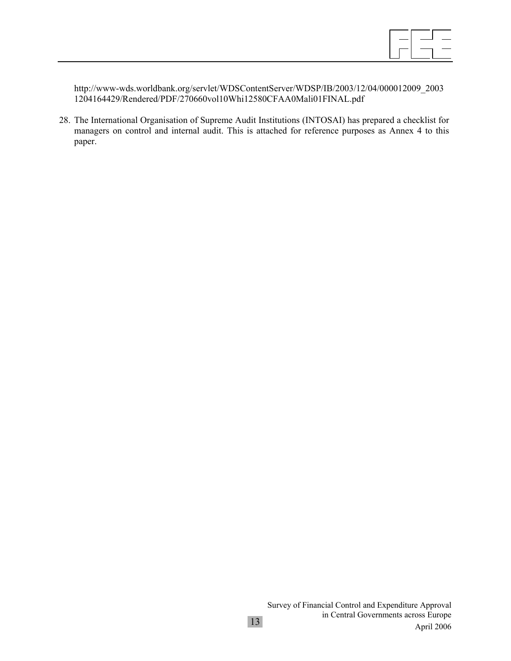http://www-wds.worldbank.org/servlet/WDSContentServer/WDSP/IB/2003/12/04/000012009\_2003 1204164429/Rendered/PDF/270660vol10Whi12580CFAA0Mali01FINAL.pdf

28. The International Organisation of Supreme Audit Institutions (INTOSAI) has prepared a checklist for managers on control and internal audit. This is attached for reference purposes as Annex 4 to this paper.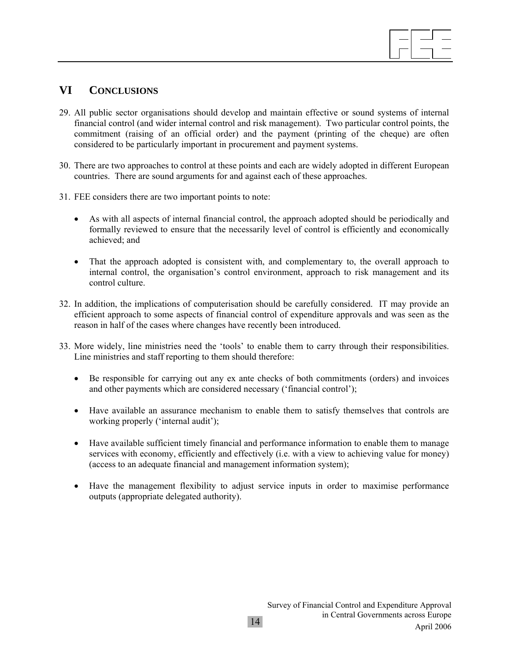

## **VI CONCLUSIONS**

- 29. All public sector organisations should develop and maintain effective or sound systems of internal financial control (and wider internal control and risk management). Two particular control points, the commitment (raising of an official order) and the payment (printing of the cheque) are often considered to be particularly important in procurement and payment systems.
- 30. There are two approaches to control at these points and each are widely adopted in different European countries. There are sound arguments for and against each of these approaches.
- 31. FEE considers there are two important points to note:
	- As with all aspects of internal financial control, the approach adopted should be periodically and formally reviewed to ensure that the necessarily level of control is efficiently and economically achieved; and
	- That the approach adopted is consistent with, and complementary to, the overall approach to internal control, the organisation's control environment, approach to risk management and its control culture.
- 32. In addition, the implications of computerisation should be carefully considered. IT may provide an efficient approach to some aspects of financial control of expenditure approvals and was seen as the reason in half of the cases where changes have recently been introduced.
- 33. More widely, line ministries need the 'tools' to enable them to carry through their responsibilities. Line ministries and staff reporting to them should therefore:
	- Be responsible for carrying out any ex ante checks of both commitments (orders) and invoices and other payments which are considered necessary ('financial control');
	- Have available an assurance mechanism to enable them to satisfy themselves that controls are working properly ('internal audit');
	- Have available sufficient timely financial and performance information to enable them to manage services with economy, efficiently and effectively (i.e. with a view to achieving value for money) (access to an adequate financial and management information system);
	- Have the management flexibility to adjust service inputs in order to maximise performance outputs (appropriate delegated authority).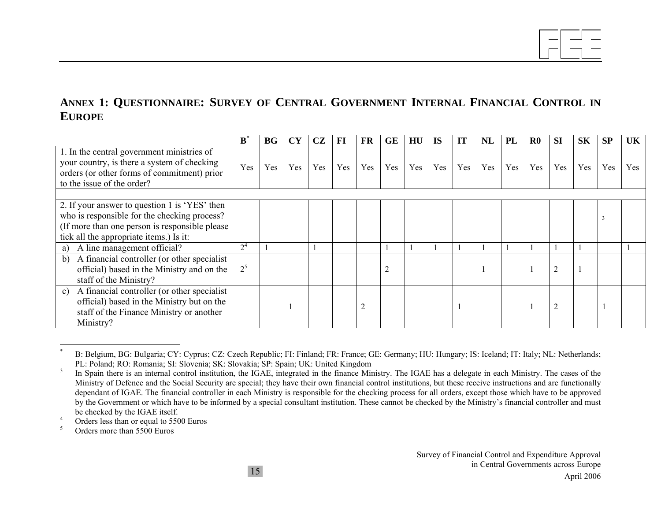# **ANNEX 1: QUESTIONNAIRE: SURVEY OF CENTRAL GOVERNMENT INTERNAL FINANCIAL CONTROL IN EUROPE**

|                                                                                                                                                                                             | B              | BG  | <b>CY</b> | CZ  | FI  | FR  | <b>GE</b> | HU  | <b>IS</b> | <b>IT</b> | NL  | PL  | $\bf R0$ | <b>SI</b>      | <b>SK</b> | <b>SP</b> | UK  |
|---------------------------------------------------------------------------------------------------------------------------------------------------------------------------------------------|----------------|-----|-----------|-----|-----|-----|-----------|-----|-----------|-----------|-----|-----|----------|----------------|-----------|-----------|-----|
| 1. In the central government ministries of<br>your country, is there a system of checking<br>orders (or other forms of commitment) prior<br>to the issue of the order?                      | Yes            | Yes | Yes       | Yes | Yes | Yes | Yes       | Yes | Yes       | Yes       | Yes | Yes | Yes      | Yes            | Yes       | Yes       | Yes |
|                                                                                                                                                                                             |                |     |           |     |     |     |           |     |           |           |     |     |          |                |           |           |     |
| 2. If your answer to question 1 is 'YES' then<br>who is responsible for the checking process?<br>(If more than one person is responsible please)<br>tick all the appropriate items.) Is it: |                |     |           |     |     |     |           |     |           |           |     |     |          |                |           |           |     |
| A line management official?<br>a)                                                                                                                                                           | 2 <sup>4</sup> |     |           |     |     |     |           |     |           |           |     |     |          |                |           |           |     |
| A financial controller (or other specialist<br>b)<br>official) based in the Ministry and on the<br>staff of the Ministry?                                                                   | $2^5$          |     |           |     |     |     |           |     |           |           |     |     |          | $\overline{2}$ |           |           |     |
| A financial controller (or other specialist)<br>c)<br>official) based in the Ministry but on the<br>staff of the Finance Ministry or another<br>Ministry?                                   |                |     |           |     |     |     |           |     |           |           |     |     |          | $\overline{2}$ |           |           |     |

B: Belgium, BG: Bulgaria; CY: Cyprus; CZ: Czech Republic; FI: Finland; FR: France; GE: Germany; HU: Hungary; IS: Iceland; IT: Italy; NL: Netherlands; PL: Poland; RO: Romania; SI: Slovenia; SK: Slovakia; SP: Spain; UK: United Kingdom

<sup>&</sup>lt;sup>3</sup> In Spain there is an internal control institution, the IGAE, integrated in the finance Ministry. The IGAE has a delegate in each Ministry. The cases of the Ministry of Defence and the Social Security are special; they have their own financial control institutions, but these receive instructions and are functionally dependant of IGAE. The financial controller in each Ministry is responsible for the checking process for all orders, except those which have to be approved by the Government or which have to be informed by a special consultant institution. These cannot be checked by the Ministry's financial controller and must be checked by the IGAE itself.

 $^{4}$  Orders less than or equal to 5500 Euros

<sup>5</sup> Orders more than 5500 Euros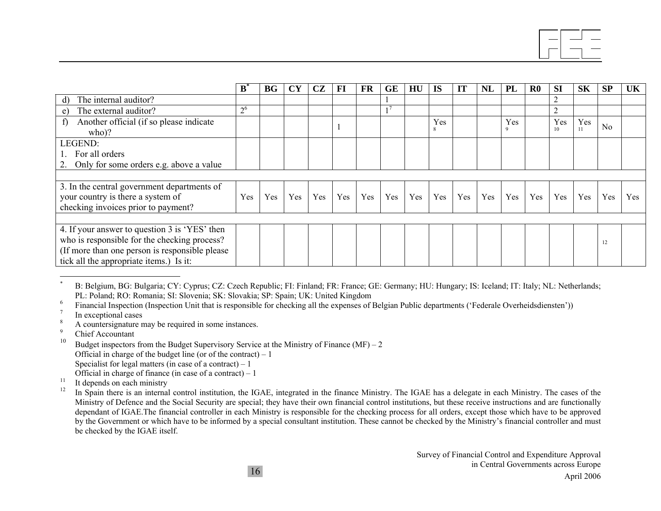|                                                        | ${\bf B}$      | <b>BG</b> | <b>CY</b> | CZ  | FI  | <b>FR</b> | <b>GE</b> | HU  | <b>IS</b> | IT  | NL  | PL              | R <sub>0</sub> | <b>SI</b> | <b>SK</b> | <b>SP</b>      | UK  |
|--------------------------------------------------------|----------------|-----------|-----------|-----|-----|-----------|-----------|-----|-----------|-----|-----|-----------------|----------------|-----------|-----------|----------------|-----|
| The internal auditor?<br>$\mathbf{d}$                  |                |           |           |     |     |           |           |     |           |     |     |                 |                | ◠         |           |                |     |
| The external auditor?<br>e)                            | 2 <sup>6</sup> |           |           |     |     |           |           |     |           |     |     |                 |                | ◠         |           |                |     |
| Another official (if so please indicate<br>f)<br>who)? |                |           |           |     |     |           |           |     | Yes<br>8  |     |     | Yes<br>$\Omega$ |                | Yes<br>10 | Yes       | N <sub>0</sub> |     |
| LEGEND:                                                |                |           |           |     |     |           |           |     |           |     |     |                 |                |           |           |                |     |
| For all orders                                         |                |           |           |     |     |           |           |     |           |     |     |                 |                |           |           |                |     |
| 2. Only for some orders e.g. above a value             |                |           |           |     |     |           |           |     |           |     |     |                 |                |           |           |                |     |
|                                                        |                |           |           |     |     |           |           |     |           |     |     |                 |                |           |           |                |     |
| 3. In the central government departments of            |                |           |           |     |     |           |           |     |           |     |     |                 |                |           |           |                |     |
| your country is there a system of                      | Yes            | Yes       | Yes       | Yes | Yes | Yes       | Yes       | Yes | Yes       | Yes | Yes | Yes             | Yes            | Yes       | Yes       | Yes            | Yes |
| checking invoices prior to payment?                    |                |           |           |     |     |           |           |     |           |     |     |                 |                |           |           |                |     |
|                                                        |                |           |           |     |     |           |           |     |           |     |     |                 |                |           |           |                |     |
| 4. If your answer to question 3 is 'YES' then          |                |           |           |     |     |           |           |     |           |     |     |                 |                |           |           |                |     |
| who is responsible for the checking process?           |                |           |           |     |     |           |           |     |           |     |     |                 |                |           |           | 12             |     |
| (If more than one person is responsible please)        |                |           |           |     |     |           |           |     |           |     |     |                 |                |           |           |                |     |
| tick all the appropriate items.) Is it:                |                |           |           |     |     |           |           |     |           |     |     |                 |                |           |           |                |     |

<sup>\*</sup> B: Belgium, BG: Bulgaria; CY: Cyprus; CZ: Czech Republic; FI: Finland; FR: France; GE: Germany; HU: Hungary; IS: Iceland; IT: Italy; NL: Netherlands; PL: Poland; RO: Romania; SI: Slovenia; SK: Slovakia; SP: Spain; UK: United Kingdom

6 Financial Inspection (Inspection Unit that is responsible for checking all the expenses of Belgian Public departments ('Federale Overheidsdiensten'))

- In exceptional cases
- $\frac{8}{9}$  A countersignature may be required in some instances.
- <sup>9</sup> Chief Accountant
- 10Budget inspectors from the Budget Supervisory Service at the Ministry of Finance  $(MF) - 2$ Official in charge of the budget line (or of the contract)  $-1$ Specialist for legal matters (in case of a contract)  $-1$ Official in charge of finance (in case of a contract) – 1
- <sup>11</sup> It depends on each ministry<br><sup>12</sup> In Spain there is an internal
- In Spain there is an internal control institution, the IGAE, integrated in the finance Ministry. The IGAE has a delegate in each Ministry. The cases of the Ministry of Defence and the Social Security are special; they have their own financial control institutions, but these receive instructions and are functionally dependant of IGAE.The financial controller in each Ministry is responsible for the checking process for all orders, except those which have to be approved by the Government or which have to be informed by a special consultant institution. These cannot be checked by the Ministry's financial controller and must be checked by the IGAE itself.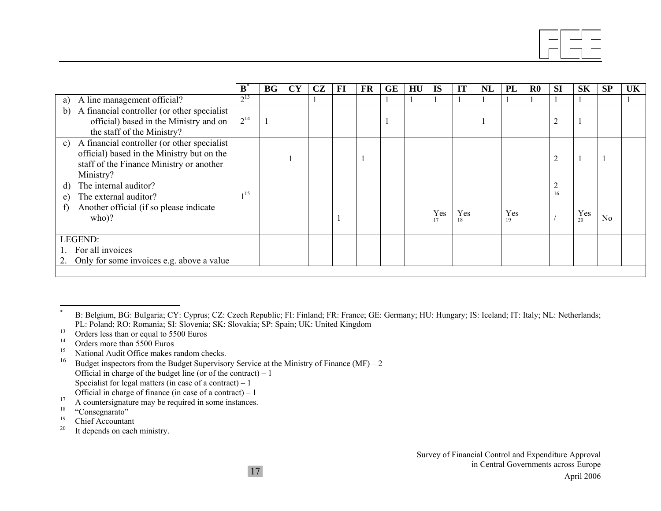|                                                                                                                                                          | B.       | BG | <b>CY</b> | CZ | $\bf{FI}$ | FR | GE | HU | <b>IS</b> | IT        | NL | PL        | $\bf R0$ | <b>SI</b>      | <b>SK</b> | SP             | <b>UK</b> |
|----------------------------------------------------------------------------------------------------------------------------------------------------------|----------|----|-----------|----|-----------|----|----|----|-----------|-----------|----|-----------|----------|----------------|-----------|----------------|-----------|
| A line management official?<br>a)                                                                                                                        | $2^{13}$ |    |           |    |           |    |    |    |           |           |    |           |          |                |           |                |           |
| A financial controller (or other specialist<br>b)<br>official) based in the Ministry and on<br>the staff of the Ministry?                                | $2^{14}$ |    |           |    |           |    |    |    |           |           |    |           |          | $\overline{c}$ |           |                |           |
| A financial controller (or other specialist<br>c)<br>official) based in the Ministry but on the<br>staff of the Finance Ministry or another<br>Ministry? |          |    |           |    |           |    |    |    |           |           |    |           |          | $\overline{c}$ |           |                |           |
| The internal auditor?<br>d)                                                                                                                              |          |    |           |    |           |    |    |    |           |           |    |           |          | $\overline{2}$ |           |                |           |
| The external auditor?<br>e)                                                                                                                              | 115      |    |           |    |           |    |    |    |           |           |    |           |          | 16             |           |                |           |
| Another official (if so please indicate<br>f)<br>$who$ ?                                                                                                 |          |    |           |    |           |    |    |    | Yes<br>17 | Yes<br>18 |    | Yes<br>19 |          |                | Yes<br>20 | N <sub>0</sub> |           |
| LEGEND:<br>For all invoices<br>2. Only for some invoices e.g. above a value                                                                              |          |    |           |    |           |    |    |    |           |           |    |           |          |                |           |                |           |
|                                                                                                                                                          |          |    |           |    |           |    |    |    |           |           |    |           |          |                |           |                |           |

<sup>15</sup> National Audit Office makes random checks.

<sup>16</sup> Budget inspectors from the Budget Supervisory Service at the Ministry of Finance (MF) – 2 Official in charge of the budget line (or of the contract) – 1 Specialist for legal matters (in case of a contract) – 1 Official in charge of finance (in case of a contract) – 1

B: Belgium, BG: Bulgaria; CY: Cyprus; CZ: Czech Republic; FI: Finland; FR: France; GE: Germany; HU: Hungary; IS: Iceland; IT: Italy; NL: Netherlands; PL: Poland; RO: Romania; SI: Slovenia; SK: Slovakia; SP: Spain; UK: United Kingdom

<sup>&</sup>lt;sup>13</sup> Orders less than or equal to 5500 Euros<br><sup>14</sup> Orders more than 5500 Euros

Orders more than 5500 Euros

<sup>&</sup>lt;sup>17</sup> A countersignature may be required in some instances.<br><sup>18</sup> "Consequente"

 $^{18}$  "Consegnarato"

<sup>&</sup>lt;sup>19</sup> Chief Accountant

 $20$  It depends on each ministry.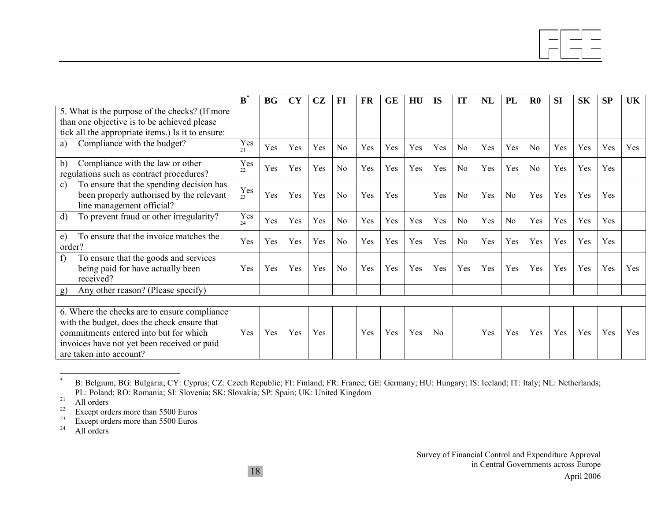|                                                                                                                                                                                                                 | $\mathbf{B}^{\dagger}$ | <b>BG</b> | <b>CY</b> | CZ  | $\bf{FI}$      | FR  | <b>GE</b> | HU  | IS             | IT             | <b>NL</b> | <b>PL</b>      | $\bf R0$       | <b>SI</b> | <b>SK</b> | <b>SP</b> | <b>UK</b> |
|-----------------------------------------------------------------------------------------------------------------------------------------------------------------------------------------------------------------|------------------------|-----------|-----------|-----|----------------|-----|-----------|-----|----------------|----------------|-----------|----------------|----------------|-----------|-----------|-----------|-----------|
| 5. What is the purpose of the checks? (If more<br>than one objective is to be achieved please<br>tick all the appropriate items.) Is it to ensure:                                                              |                        |           |           |     |                |     |           |     |                |                |           |                |                |           |           |           |           |
| Compliance with the budget?<br>a)                                                                                                                                                                               | Yes<br>21              | Yes       | Yes       | Yes | N <sub>0</sub> | Yes | Yes       | Yes | Yes            | N <sub>o</sub> | Yes       | Yes            | N <sub>0</sub> | Yes       | Yes       | Yes       | Yes       |
| Compliance with the law or other<br>b)<br>regulations such as contract procedures?                                                                                                                              | Yes<br>22              | Yes       | Yes       | Yes | N <sub>0</sub> | Yes | Yes       | Yes | Yes            | No             | Yes       | Yes            | N <sub>0</sub> | Yes       | Yes       | Yes       |           |
| To ensure that the spending decision has<br>c)<br>been properly authorised by the relevant<br>line management official?                                                                                         | Yes<br>23              | Yes       | Yes       | Yes | No             | Yes | Yes       |     | Yes            | No             | Yes       | N <sub>o</sub> | Yes            | Yes       | Yes       | Yes       |           |
| To prevent fraud or other irregularity?<br>d)                                                                                                                                                                   | Yes<br>24              | Yes       | Yes       | Yes | N <sub>0</sub> | Yes | Yes       | Yes | Yes            | No             | Yes       | No             | Yes            | Yes       | Yes       | Yes       |           |
| To ensure that the invoice matches the<br>e)<br>order?                                                                                                                                                          | Yes                    | Yes       | Yes       | Yes | No             | Yes | Yes       | Yes | Yes            | No             | Yes       | Yes            | Yes            | Yes       | Yes       | Yes       |           |
| f)<br>To ensure that the goods and services<br>being paid for have actually been<br>received?                                                                                                                   | Yes                    | Yes       | Yes       | Yes | No             | Yes | Yes       | Yes | Yes            | <b>Yes</b>     | Yes       | Yes            | <b>Yes</b>     | Yes       | Yes       | Yes       | Yes       |
| Any other reason? (Please specify)<br>g)                                                                                                                                                                        |                        |           |           |     |                |     |           |     |                |                |           |                |                |           |           |           |           |
| 6. Where the checks are to ensure compliance<br>with the budget, does the check ensure that<br>commitments entered into but for which<br>invoices have not yet been received or paid<br>are taken into account? | Yes                    | Yes       | Yes       | Yes |                | Yes | Yes       | Yes | N <sub>0</sub> |                | Yes       | Yes            | Yes            | Yes       | Yes       | Yes       | Yes       |

B: Belgium, BG: Bulgaria; CY: Cyprus; CZ: Czech Republic; FI: Finland; FR: France; GE: Germany; HU: Hungary; IS: Iceland; IT: Italy; NL: Netherlands; PL: Poland; RO: Romania; SI: Slovenia; SK: Slovakia; SP: Spain; UK: United Kingdom

 $\frac{21}{22}$  All orders

 $22$  Except orders more than 5500 Euros

 $23$  Except orders more than 5500 Euros<br> $24$  All orders

All orders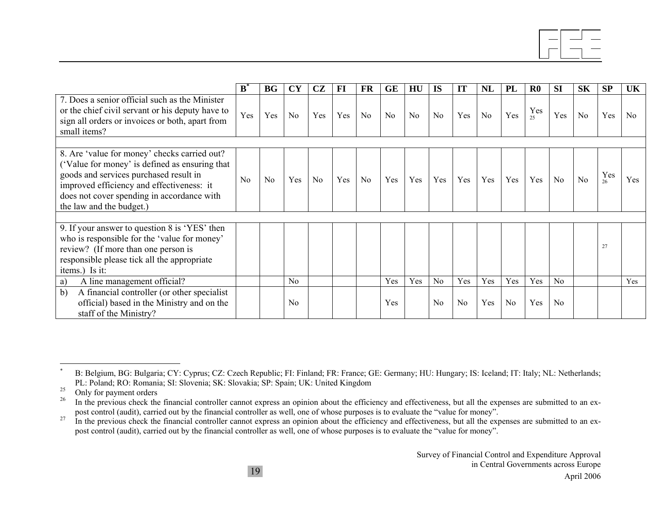|                                                                                                                                                                                                                                     | ${\bf B}^*$ | <b>BG</b>      | <b>CY</b>      | <b>CZ</b>      | FI  | <b>FR</b>      | <b>GE</b> | HU             | <b>IS</b>      | IT             | NL             | PL  | $\bf R0$  | <b>SI</b>      | <b>SK</b>      | <b>SP</b> | UK             |
|-------------------------------------------------------------------------------------------------------------------------------------------------------------------------------------------------------------------------------------|-------------|----------------|----------------|----------------|-----|----------------|-----------|----------------|----------------|----------------|----------------|-----|-----------|----------------|----------------|-----------|----------------|
| 7. Does a senior official such as the Minister<br>or the chief civil servant or his deputy have to<br>sign all orders or invoices or both, apart from<br>small items?                                                               | Yes         | Yes            | N <sub>0</sub> | Yes            | Yes | N <sub>0</sub> | No        | N <sub>0</sub> | N <sub>0</sub> | Yes            | N <sub>0</sub> | Yes | Yes<br>25 | Yes            | N <sub>0</sub> | Yes       | N <sub>0</sub> |
| 8. Are 'value for money' checks carried out?<br>('Value for money' is defined as ensuring that<br>goods and services purchased result in<br>improved efficiency and effectiveness: it<br>does not cover spending in accordance with | No          | N <sub>0</sub> | Yes            | N <sub>o</sub> | Yes | N <sub>0</sub> | Yes       | Yes            | Yes            | Yes            | Yes            | Yes | Yes       | N <sub>0</sub> | No             | Yes<br>26 | Yes            |
| the law and the budget.)                                                                                                                                                                                                            |             |                |                |                |     |                |           |                |                |                |                |     |           |                |                |           |                |
| 9. If your answer to question 8 is 'YES' then<br>who is responsible for the 'value for money'<br>review? (If more than one person is<br>responsible please tick all the appropriate<br>items.) Is it:                               |             |                |                |                |     |                |           |                |                |                |                |     |           |                |                | 27        |                |
| A line management official?<br>a)                                                                                                                                                                                                   |             |                | $\rm No$       |                |     |                | Yes       | Yes            | N <sub>0</sub> | Yes            | Yes            | Yes | Yes       | N <sub>0</sub> |                |           | Yes            |
| b)<br>A financial controller (or other specialist)<br>official) based in the Ministry and on the<br>staff of the Ministry?                                                                                                          |             |                | N <sub>0</sub> |                |     |                | Yes       |                | N <sub>0</sub> | N <sub>0</sub> | Yes            | No  | Yes       | N <sub>0</sub> |                |           |                |

B: Belgium, BG: Bulgaria; CY: Cyprus; CZ: Czech Republic; FI: Finland; FR: France; GE: Germany; HU: Hungary; IS: Iceland; IT: Italy; NL: Netherlands; PL: Poland; RO: Romania; SI: Slovenia; SK: Slovakia; SP: Spain; UK: United Kingdom

 $^{25}$  Only for payment orders

In the previous check the financial controller cannot express an opinion about the efficiency and effectiveness, but all the expenses are submitted to an expost control (audit), carried out by the financial controller as well, one of whose purposes is to evaluate the "value for money".

 $27 \text{ In the previous check the financial controller cannot express an opinion about the efficiency and effectiveness, but all the expenses are submitted to an ex$ post control (audit), carried out by the financial controller as well, one of whose purposes is to evaluate the "value for money".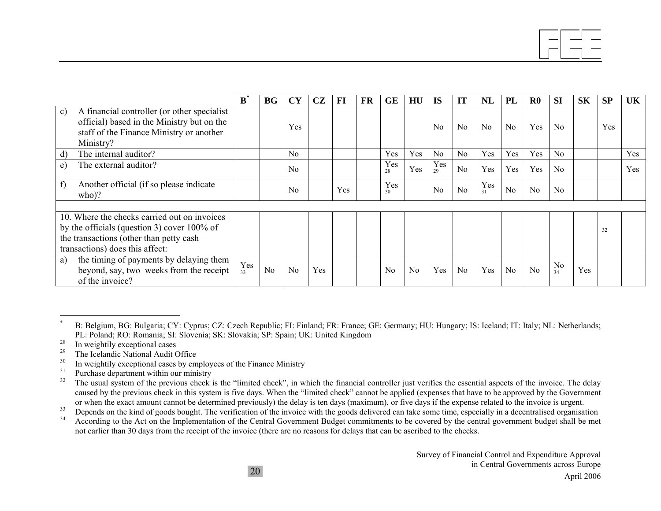|                                                                                                                                                                              | B         | <b>BG</b>      | <b>CY</b>      | CZ  | FI  | FR | <b>GE</b>      | HU             | <b>IS</b>      | IT             | <b>NL</b> | PL             | $\mathbf{R}$ <sup>0</sup> | <b>SI</b>            | <b>SK</b> | <b>SP</b> | UK  |
|------------------------------------------------------------------------------------------------------------------------------------------------------------------------------|-----------|----------------|----------------|-----|-----|----|----------------|----------------|----------------|----------------|-----------|----------------|---------------------------|----------------------|-----------|-----------|-----|
| A financial controller (or other specialist)<br>c)<br>official) based in the Ministry but on the<br>staff of the Finance Ministry or another<br>Ministry?                    |           |                | Yes            |     |     |    |                |                | N <sub>0</sub> | N <sub>0</sub> | No        | N <sub>0</sub> | Yes                       | N <sub>0</sub>       |           | Yes       |     |
| The internal auditor?<br>d)                                                                                                                                                  |           |                | N <sub>0</sub> |     |     |    | Yes            | Yes            | N <sub>0</sub> | No             | Yes       | Yes            | Yes                       | N <sub>0</sub>       |           |           | Yes |
| The external auditor?<br>e)                                                                                                                                                  |           |                | No             |     |     |    | Yes<br>28      | Yes            | Yes<br>29      | N <sub>0</sub> | Yes       | Yes            | Yes                       | No                   |           |           | Yes |
| Another official (if so please indicate)<br>$\mathbf{f}$<br>$(\text{who})$ ?                                                                                                 |           |                | No             |     | Yes |    | Yes<br>30      |                | No             | No             | Yes<br>31 | No             | No                        | $\rm No$             |           |           |     |
|                                                                                                                                                                              |           |                |                |     |     |    |                |                |                |                |           |                |                           |                      |           |           |     |
| 10. Where the checks carried out on invoices<br>by the officials (question 3) cover $100\%$ of<br>the transactions (other than petty cash<br>transactions) does this affect: |           |                |                |     |     |    |                |                |                |                |           |                |                           |                      |           | 32        |     |
| the timing of payments by delaying them<br>a)<br>beyond, say, two weeks from the receipt<br>of the invoice?                                                                  | Yes<br>33 | N <sub>0</sub> | N <sub>0</sub> | Yes |     |    | N <sub>0</sub> | N <sub>0</sub> | Yes            | N <sub>0</sub> | Yes       | N <sub>0</sub> | No                        | N <sub>0</sub><br>34 | Yes       |           |     |

<sup>33</sup> Depends on the kind of goods bought. The verification of the invoice with the goods delivered can take some time, especially in a decentralised organisation<br><sup>34</sup> According to the Act on the Implementation of the Contr

34 According to the Act on the Implementation of the Central Government Budget commitments to be covered by the central government budget shall be met not earlier than 30 days from the receipt of the invoice (there are no reasons for delays that can be ascribed to the checks.

<sup>\*</sup> B: Belgium, BG: Bulgaria; CY: Cyprus; CZ: Czech Republic; FI: Finland; FR: France; GE: Germany; HU: Hungary; IS: Iceland; IT: Italy; NL: Netherlands; PL: Poland; RO: Romania; SI: Slovenia; SK: Slovakia; SP: Spain; UK: United Kingdom

<sup>&</sup>lt;sup>28</sup> In weightily exceptional cases

The Icelandic National Audit Office

<sup>&</sup>lt;sup>30</sup> In weightily exceptional cases by employees of the Finance Ministry

 $31<sup>31</sup>$  Purchase department within our ministry

The usual system of the previous check is the "limited check", in which the financial controller just verifies the essential aspects of the invoice. The delay caused by the previous check in this system is five days. When the "limited check" cannot be applied (expenses that have to be approved by the Government or when the exact amount cannot be determined previously) the delay is ten days (maximum), or five days if the expense related to the invoice is urgent.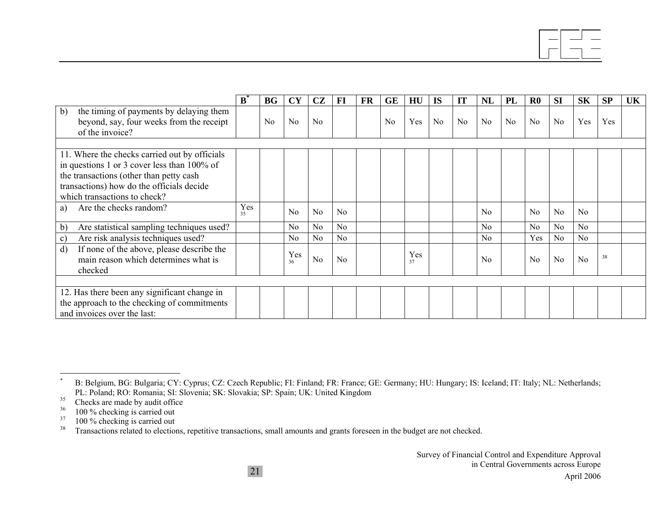|                                                                                                                                                                                                                      | ${\bf B}$ | <b>BG</b> | <b>CY</b>      | CZ             | FI             | <b>FR</b> | <b>GE</b> | HU        | <b>IS</b> | <b>IT</b> | NL             | <b>PL</b> | $\bf R0$       | <b>SI</b>      | <b>SK</b>      | <b>SP</b> | <b>UK</b> |
|----------------------------------------------------------------------------------------------------------------------------------------------------------------------------------------------------------------------|-----------|-----------|----------------|----------------|----------------|-----------|-----------|-----------|-----------|-----------|----------------|-----------|----------------|----------------|----------------|-----------|-----------|
| b)<br>the timing of payments by delaying them<br>beyond, say, four weeks from the receipt<br>of the invoice?                                                                                                         |           | No        | No             | No             |                |           | No        | Yes       | No        | No        | No             | No        | No             | N <sub>0</sub> | Yes            | Yes       |           |
|                                                                                                                                                                                                                      |           |           |                |                |                |           |           |           |           |           |                |           |                |                |                |           |           |
| 11. Where the checks carried out by officials<br>in questions 1 or 3 cover less than 100% of<br>the transactions (other than petty cash<br>transactions) how do the officials decide<br>which transactions to check? |           |           |                |                |                |           |           |           |           |           |                |           |                |                |                |           |           |
| Are the checks random?<br>a)                                                                                                                                                                                         | Yes<br>35 |           | No             | N <sub>0</sub> | N <sub>0</sub> |           |           |           |           |           | $\overline{N}$ |           | N <sub>0</sub> | N <sub>0</sub> | N <sub>0</sub> |           |           |
| Are statistical sampling techniques used?<br>$\mathbf{b}$                                                                                                                                                            |           |           | N <sub>0</sub> | N <sub>0</sub> | No             |           |           |           |           |           | No             |           | N <sub>0</sub> | N <sub>o</sub> | No             |           |           |
| Are risk analysis techniques used?<br>$\mathbf{c})$                                                                                                                                                                  |           |           | $\rm No$       | N <sub>0</sub> | No             |           |           |           |           |           | N <sub>0</sub> |           | Yes            | No             | No             |           |           |
| If none of the above, please describe the<br>$\mathbf{d}$<br>main reason which determines what is<br>checked                                                                                                         |           |           | Yes<br>36      | No             | N <sub>0</sub> |           |           | Yes<br>37 |           |           | No             |           | N <sub>0</sub> | N <sub>0</sub> | N <sub>0</sub> | 38        |           |
|                                                                                                                                                                                                                      |           |           |                |                |                |           |           |           |           |           |                |           |                |                |                |           |           |
| 12. Has there been any significant change in<br>the approach to the checking of commitments<br>and invoices over the last:                                                                                           |           |           |                |                |                |           |           |           |           |           |                |           |                |                |                |           |           |

<sup>\*</sup> B: Belgium, BG: Bulgaria; CY: Cyprus; CZ: Czech Republic; FI: Finland; FR: France; GE: Germany; HU: Hungary; IS: Iceland; IT: Italy; NL: Netherlands; PL: Poland; RO: Romania; SI: Slovenia; SK: Slovakia; SP: Spain; UK: United Kingdom

<sup>&</sup>lt;sup>35</sup> Checks are made by audit office

 $36$  100 % checking is carried out

 $\frac{37}{38}$  100 % checking is carried out

<sup>38</sup> Transactions related to elections, repetitive transactions, small amounts and grants foreseen in the budget are not checked.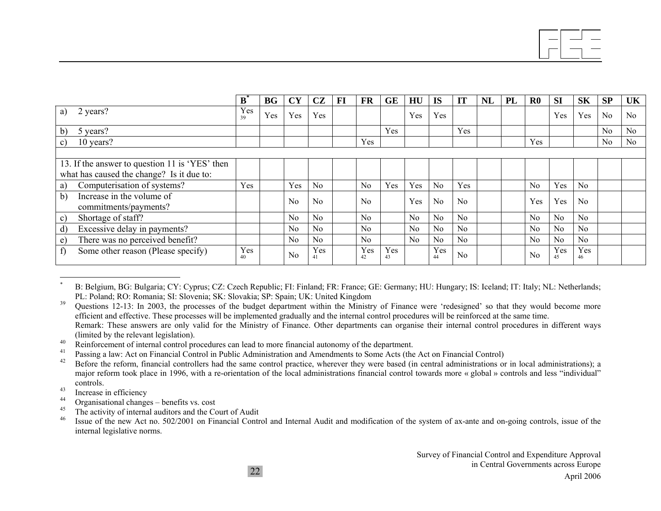|                                                          | $\mathbf{B}^{\text{*}}$ | <b>BG</b> | <b>CY</b>      | CZ             | FI | <b>FR</b>      | <b>GE</b> | HU             | <b>IS</b>      | IT             | <b>NL</b> | PL | $\bf R0$       | <b>SI</b>      | <b>SK</b> | SP | UK |
|----------------------------------------------------------|-------------------------|-----------|----------------|----------------|----|----------------|-----------|----------------|----------------|----------------|-----------|----|----------------|----------------|-----------|----|----|
| 2 years?<br>a)                                           | Yes<br>39               | Yes       | Yes            | Yes            |    |                |           | Yes            | Yes            |                |           |    |                | Yes            | Yes       | No | No |
| b)<br>5 years?                                           |                         |           |                |                |    |                | Yes       |                |                | Yes            |           |    |                |                |           | No | No |
| 10 years?<br>c)                                          |                         |           |                |                |    | Yes            |           |                |                |                |           |    | Yes            |                |           | No | No |
|                                                          |                         |           |                |                |    |                |           |                |                |                |           |    |                |                |           |    |    |
| 13. If the answer to question 11 is 'YES' then           |                         |           |                |                |    |                |           |                |                |                |           |    |                |                |           |    |    |
| what has caused the change? Is it due to:                |                         |           |                |                |    |                |           |                |                |                |           |    |                |                |           |    |    |
| Computerisation of systems?<br>a)                        | Yes                     |           | Yes            | No             |    | N <sub>0</sub> | Yes       | Yes            | No             | Yes            |           |    | N <sub>0</sub> | Yes            | No        |    |    |
| Increase in the volume of<br>b)<br>commitments/payments? |                         |           | N <sub>0</sub> | No             |    | N <sub>0</sub> |           | Yes            | No             | No             |           |    | Yes            | Yes            | No        |    |    |
| Shortage of staff?<br>c)                                 |                         |           | No             | N <sub>0</sub> |    | No             |           | N <sub>0</sub> | N <sub>0</sub> | No             |           |    | N <sub>0</sub> | N <sub>0</sub> | No        |    |    |
| Excessive delay in payments?<br>$\mathbf{d}$             |                         |           | N <sub>0</sub> | N <sub>0</sub> |    | N <sub>0</sub> |           | N <sub>0</sub> | N <sub>o</sub> | N <sub>0</sub> |           |    | N <sub>0</sub> | N <sub>0</sub> | No        |    |    |
| There was no perceived benefit?<br>e)                    |                         |           | N <sub>0</sub> | N <sub>0</sub> |    | N <sub>0</sub> |           | N <sub>0</sub> | N <sub>0</sub> | N <sub>0</sub> |           |    | N <sub>0</sub> | No             | No        |    |    |
| f)<br>Some other reason (Please specify)                 | Yes<br>40               |           | N <sub>0</sub> | Yes<br>41      |    | Yes<br>42      | Yes<br>43 |                | Yes<br>44      | N <sub>0</sub> |           |    | No             | Yes<br>45      | Yes<br>46 |    |    |

<sup>\*</sup> B: Belgium, BG: Bulgaria; CY: Cyprus; CZ: Czech Republic; FI: Finland; FR: France; GE: Germany; HU: Hungary; IS: Iceland; IT: Italy; NL: Netherlands; PL: Poland; RO: Romania; SI: Slovenia; SK: Slovakia; SP: Spain; UK: United Kingdom

<sup>&</sup>lt;sup>39</sup> Questions 12-13: In 2003, the processes of the budget department within the Ministry of Finance were 'redesigned' so that they would become more efficient and effective. These processes will be implemented gradually and the internal control procedures will be reinforced at the same time. Remark: These answers are only valid for the Ministry of Finance. Other departments can organise their internal control procedures in different ways (limited by the relevant legislation).

<sup>&</sup>lt;sup>40</sup> Reinforcement of internal control procedures can lead to more financial autonomy of the department.

<sup>&</sup>lt;sup>41</sup> Passing a law: Act on Financial Control in Public Administration and Amendments to Some Acts (the Act on Financial Control)<br><sup>42</sup> Pafore the referm financial controllers had the same control prectice, wherever they wer

Before the reform, financial controllers had the same control practice, wherever they were based (in central administrations or in local administrations); a major reform took place in 1996, with a re-orientation of the local administrations financial control towards more « global » controls and less "individual" controls.

 $^{43}$  Increase in efficiency

<sup>&</sup>lt;sup>44</sup> Organisational changes – benefits vs. cost

<sup>&</sup>lt;sup>45</sup> The activity of internal auditors and the Court of Audit  $\frac{46}{100}$  Legy of the new Act no. 500/0001 on Einengial Contra

Issue of the new Act no. 502/2001 on Financial Control and Internal Audit and modification of the system of ax-ante and on-going controls, issue of the internal legislative norms.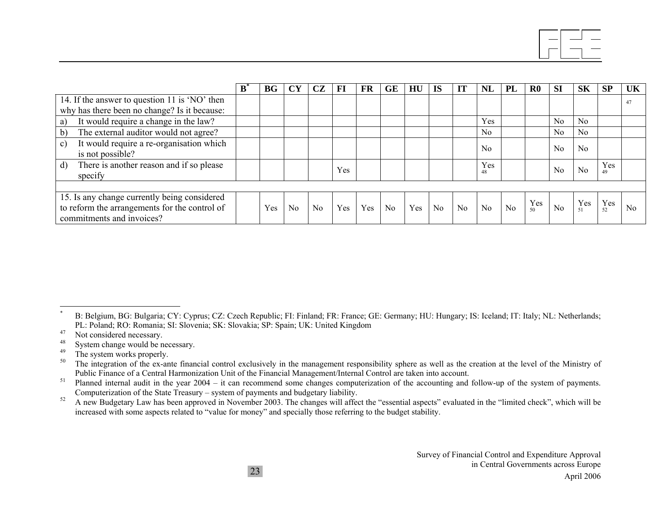|                                                                              | B | BG  | <b>CY</b> | CZ | FI  | <b>FR</b> | <b>GE</b>      | HU  | <b>IS</b> | IT | <b>NL</b>      | PL | $\bf R0$ | <b>SI</b>      | <b>SK</b>      | SP        | UK |
|------------------------------------------------------------------------------|---|-----|-----------|----|-----|-----------|----------------|-----|-----------|----|----------------|----|----------|----------------|----------------|-----------|----|
| 14. If the answer to question 11 is 'NO' then                                |   |     |           |    |     |           |                |     |           |    |                |    |          |                |                |           | 47 |
| why has there been no change? Is it because:                                 |   |     |           |    |     |           |                |     |           |    |                |    |          |                |                |           |    |
| It would require a change in the law?<br>a)                                  |   |     |           |    |     |           |                |     |           |    | Yes            |    |          | N <sub>0</sub> | N <sub>0</sub> |           |    |
| The external auditor would not agree?<br>b)                                  |   |     |           |    |     |           |                |     |           |    | No.            |    |          | N <sub>0</sub> | N <sub>0</sub> |           |    |
| It would require a re-organisation which<br>$\mathbf{c}$<br>is not possible? |   |     |           |    |     |           |                |     |           |    | $\rm No$       |    |          | N <sub>0</sub> | N <sub>0</sub> |           |    |
| There is another reason and if so please<br>$\mathbf{d}$<br>specify          |   |     |           |    | Yes |           |                |     |           |    | Yes<br>48      |    |          | N <sub>0</sub> | No             | Yes<br>49 |    |
|                                                                              |   |     |           |    |     |           |                |     |           |    |                |    |          |                |                |           |    |
| 15. Is any change currently being considered                                 |   |     |           |    |     |           |                |     |           |    |                |    | Yes      |                | Yes            | Yes       |    |
| to reform the arrangements for the control of<br>commitments and invoices?   |   | Yes | No        | No | Yes | Yes       | N <sub>0</sub> | Yes | No        | No | N <sub>0</sub> | No | 50       | No             |                | 52        | No |

B: Belgium, BG: Bulgaria; CY: Cyprus; CZ: Czech Republic; FI: Finland; FR: France; GE: Germany; HU: Hungary; IS: Iceland; IT: Italy; NL: Netherlands; PL: Poland; RO: Romania; SI: Slovenia; SK: Slovakia; SP: Spain; UK: United Kingdom

 $^{47}$  Not considered necessary.

 $^{48}$  System change would be necessary.

 $^{49}$  The system works properly.

The integration of the ex-ante financial control exclusively in the management responsibility sphere as well as the creation at the level of the Ministry of Public Finance of a Central Harmonization Unit of the Financial Management/Internal Control are taken into account.

 $51$  Planned internal audit in the year 2004 – it can recommend some changes computerization of the accounting and follow-up of the system of payments. Computerization of the State Treasury – system of payments and budgetary liability.

<sup>&</sup>lt;sup>52</sup> A new Budgetary Law has been approved in November 2003. The changes will affect the "essential aspects" evaluated in the "limited check", which will be increased with some aspects related to "value for money" and specially those referring to the budget stability.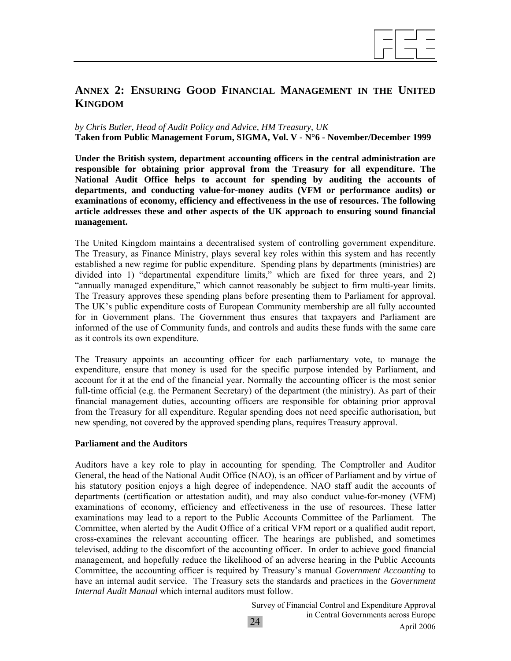

# **ANNEX 2: ENSURING GOOD FINANCIAL MANAGEMENT IN THE UNITED KINGDOM**

#### *by Chris Butler, Head of Audit Policy and Advice, HM Treasury, UK*  **Taken from Public Management Forum, SIGMA, Vol. V - N°6 - November/December 1999**

**Under the British system, department accounting officers in the central administration are responsible for obtaining prior approval from the Treasury for all expenditure. The National Audit Office helps to account for spending by auditing the accounts of departments, and conducting value-for-money audits (VFM or performance audits) or examinations of economy, efficiency and effectiveness in the use of resources. The following article addresses these and other aspects of the UK approach to ensuring sound financial management.** 

The United Kingdom maintains a decentralised system of controlling government expenditure. The Treasury, as Finance Ministry, plays several key roles within this system and has recently established a new regime for public expenditure. Spending plans by departments (ministries) are divided into 1) "departmental expenditure limits," which are fixed for three years, and 2) "annually managed expenditure," which cannot reasonably be subject to firm multi-year limits. The Treasury approves these spending plans before presenting them to Parliament for approval. The UK's public expenditure costs of European Community membership are all fully accounted for in Government plans. The Government thus ensures that taxpayers and Parliament are informed of the use of Community funds, and controls and audits these funds with the same care as it controls its own expenditure.

The Treasury appoints an accounting officer for each parliamentary vote, to manage the expenditure, ensure that money is used for the specific purpose intended by Parliament, and account for it at the end of the financial year. Normally the accounting officer is the most senior full-time official (e.g. the Permanent Secretary) of the department (the ministry). As part of their financial management duties, accounting officers are responsible for obtaining prior approval from the Treasury for all expenditure. Regular spending does not need specific authorisation, but new spending, not covered by the approved spending plans, requires Treasury approval.

#### **Parliament and the Auditors**

Auditors have a key role to play in accounting for spending. The Comptroller and Auditor General, the head of the National Audit Office (NAO), is an officer of Parliament and by virtue of his statutory position enjoys a high degree of independence. NAO staff audit the accounts of departments (certification or attestation audit), and may also conduct value-for-money (VFM) examinations of economy, efficiency and effectiveness in the use of resources. These latter examinations may lead to a report to the Public Accounts Committee of the Parliament. The Committee, when alerted by the Audit Office of a critical VFM report or a qualified audit report, cross-examines the relevant accounting officer. The hearings are published, and sometimes televised, adding to the discomfort of the accounting officer. In order to achieve good financial management, and hopefully reduce the likelihood of an adverse hearing in the Public Accounts Committee, the accounting officer is required by Treasury's manual *Government Accounting* to have an internal audit service. The Treasury sets the standards and practices in the *Government Internal Audit Manual* which internal auditors must follow.

> Survey of Financial Control and Expenditure Approval in Central Governments across Europe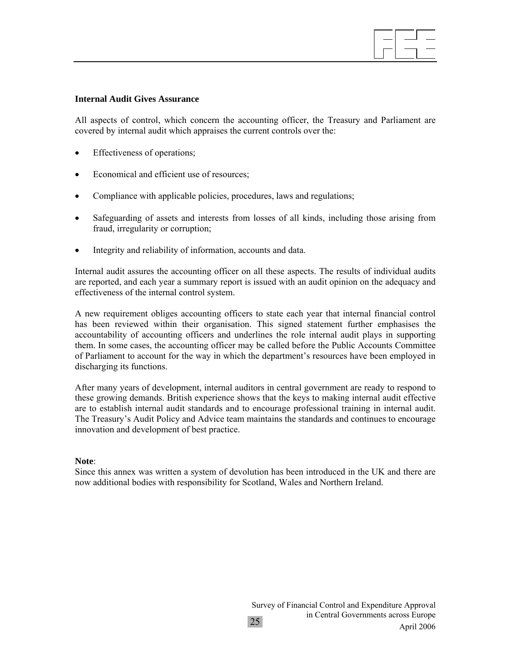#### **Internal Audit Gives Assurance**

All aspects of control, which concern the accounting officer, the Treasury and Parliament are covered by internal audit which appraises the current controls over the:

- Effectiveness of operations;
- Economical and efficient use of resources;
- Compliance with applicable policies, procedures, laws and regulations;
- Safeguarding of assets and interests from losses of all kinds, including those arising from fraud, irregularity or corruption;
- Integrity and reliability of information, accounts and data.

Internal audit assures the accounting officer on all these aspects. The results of individual audits are reported, and each year a summary report is issued with an audit opinion on the adequacy and effectiveness of the internal control system.

A new requirement obliges accounting officers to state each year that internal financial control has been reviewed within their organisation. This signed statement further emphasises the accountability of accounting officers and underlines the role internal audit plays in supporting them. In some cases, the accounting officer may be called before the Public Accounts Committee of Parliament to account for the way in which the department's resources have been employed in discharging its functions.

After many years of development, internal auditors in central government are ready to respond to these growing demands. British experience shows that the keys to making internal audit effective are to establish internal audit standards and to encourage professional training in internal audit. The Treasury's Audit Policy and Advice team maintains the standards and continues to encourage innovation and development of best practice.

#### **Note**:

Since this annex was written a system of devolution has been introduced in the UK and there are now additional bodies with responsibility for Scotland, Wales and Northern Ireland.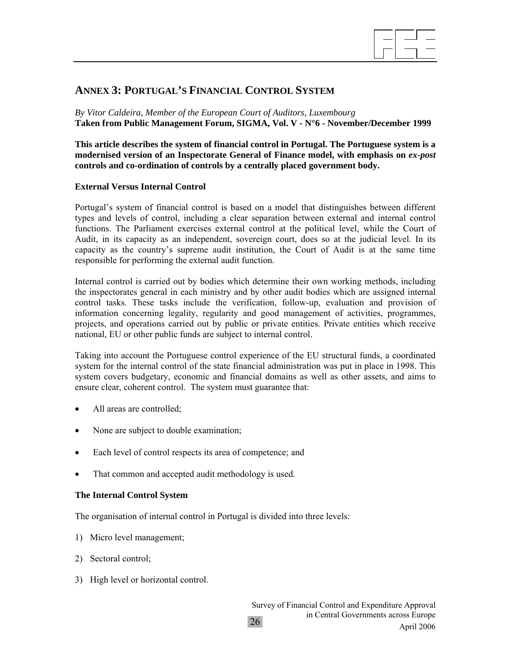

# **ANNEX 3: PORTUGAL'S FINANCIAL CONTROL SYSTEM**

*By Vitor Caldeira, Member of the European Court of Auditors, Luxembourg*  **Taken from Public Management Forum, SIGMA, Vol. V - N°6 - November/December 1999**

**This article describes the system of financial control in Portugal. The Portuguese system is a modernised version of an Inspectorate General of Finance model, with emphasis on** *ex-post* **controls and co-ordination of controls by a centrally placed government body.** 

#### **External Versus Internal Control**

Portugal's system of financial control is based on a model that distinguishes between different types and levels of control, including a clear separation between external and internal control functions. The Parliament exercises external control at the political level, while the Court of Audit, in its capacity as an independent, sovereign court, does so at the judicial level. In its capacity as the country's supreme audit institution, the Court of Audit is at the same time responsible for performing the external audit function.

Internal control is carried out by bodies which determine their own working methods, including the inspectorates general in each ministry and by other audit bodies which are assigned internal control tasks. These tasks include the verification, follow-up, evaluation and provision of information concerning legality, regularity and good management of activities, programmes, projects, and operations carried out by public or private entities. Private entities which receive national, EU or other public funds are subject to internal control.

Taking into account the Portuguese control experience of the EU structural funds, a coordinated system for the internal control of the state financial administration was put in place in 1998. This system covers budgetary, economic and financial domains as well as other assets, and aims to ensure clear, coherent control. The system must guarantee that:

- All areas are controlled;
- None are subject to double examination;
- Each level of control respects its area of competence; and
- That common and accepted audit methodology is used.

#### **The Internal Control System**

The organisation of internal control in Portugal is divided into three levels:

- 1) Micro level management;
- 2) Sectoral control;
- 3) High level or horizontal control.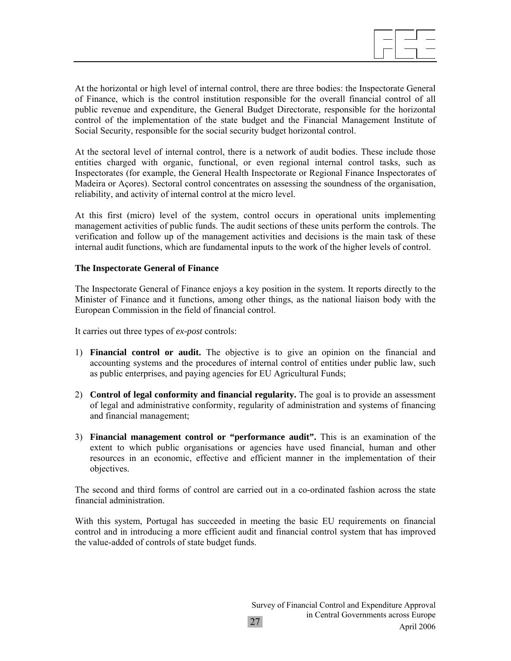

At the horizontal or high level of internal control, there are three bodies: the Inspectorate General of Finance, which is the control institution responsible for the overall financial control of all public revenue and expenditure, the General Budget Directorate, responsible for the horizontal control of the implementation of the state budget and the Financial Management Institute of Social Security, responsible for the social security budget horizontal control.

At the sectoral level of internal control, there is a network of audit bodies. These include those entities charged with organic, functional, or even regional internal control tasks, such as Inspectorates (for example, the General Health Inspectorate or Regional Finance Inspectorates of Madeira or Açores). Sectoral control concentrates on assessing the soundness of the organisation, reliability, and activity of internal control at the micro level.

At this first (micro) level of the system, control occurs in operational units implementing management activities of public funds. The audit sections of these units perform the controls. The verification and follow up of the management activities and decisions is the main task of these internal audit functions, which are fundamental inputs to the work of the higher levels of control.

#### **The Inspectorate General of Finance**

The Inspectorate General of Finance enjoys a key position in the system. It reports directly to the Minister of Finance and it functions, among other things, as the national liaison body with the European Commission in the field of financial control.

It carries out three types of *ex-post* controls:

- 1) **Financial control or audit.** The objective is to give an opinion on the financial and accounting systems and the procedures of internal control of entities under public law, such as public enterprises, and paying agencies for EU Agricultural Funds;
- 2) **Control of legal conformity and financial regularity.** The goal is to provide an assessment of legal and administrative conformity, regularity of administration and systems of financing and financial management;
- 3) **Financial management control or "performance audit".** This is an examination of the extent to which public organisations or agencies have used financial, human and other resources in an economic, effective and efficient manner in the implementation of their objectives.

The second and third forms of control are carried out in a co-ordinated fashion across the state financial administration.

With this system, Portugal has succeeded in meeting the basic EU requirements on financial control and in introducing a more efficient audit and financial control system that has improved the value-added of controls of state budget funds.